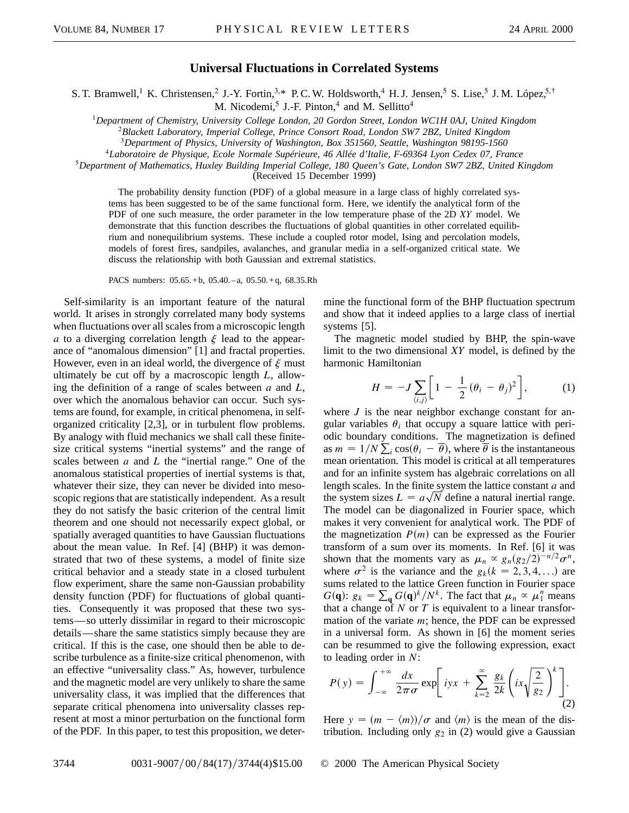## **Universal Fluctuations in Correlated Systems**

S. T. Bramwell,<sup>1</sup> K. Christensen,<sup>2</sup> J.-Y. Fortin,<sup>3,\*</sup> P. C. W. Holdsworth,<sup>4</sup> H. J. Jensen,<sup>5</sup> S. Lise,<sup>5</sup> J. M. López,<sup>5,†</sup> M. Nicodemi,<sup>5</sup> J.-F. Pinton,<sup>4</sup> and M. Sellitto<sup>4</sup>

<sup>1</sup>*Department of Chemistry, University College London, 20 Gordon Street, London WC1H 0AJ, United Kingdom*

<sup>2</sup>*Blackett Laboratory, Imperial College, Prince Consort Road, London SW7 2BZ, United Kingdom*

<sup>3</sup>*Department of Physics, University of Washington, Box 351560, Seattle, Washington 98195-1560*

<sup>4</sup>*Laboratoire de Physique, Ecole Normale Supérieure, 46 Allée d'Italie, F-69364 Lyon Cedex 07, France*

<sup>5</sup>*Department of Mathematics, Huxley Building Imperial College, 180 Queen's Gate, London SW7 2BZ, United Kingdom*

(Received 15 December 1999)

The probability density function (PDF) of a global measure in a large class of highly correlated systems has been suggested to be of the same functional form. Here, we identify the analytical form of the PDF of one such measure, the order parameter in the low temperature phase of the 2D *XY* model. We demonstrate that this function describes the fluctuations of global quantities in other correlated equilibrium and nonequilibrium systems. These include a coupled rotor model, Ising and percolation models, models of forest fires, sandpiles, avalanches, and granular media in a self-organized critical state. We discuss the relationship with both Gaussian and extremal statistics.

PACS numbers: 05.65.+b, 05.40.–a, 05.50.+q, 68.35.Rh

Self-similarity is an important feature of the natural world. It arises in strongly correlated many body systems when fluctuations over all scales from a microscopic length *a* to a diverging correlation length  $\xi$  lead to the appearance of "anomalous dimension" [1] and fractal properties. However, even in an ideal world, the divergence of  $\xi$  must ultimately be cut off by a macroscopic length *L*, allowing the definition of a range of scales between *a* and *L*, over which the anomalous behavior can occur. Such systems are found, for example, in critical phenomena, in selforganized criticality [2,3], or in turbulent flow problems. By analogy with fluid mechanics we shall call these finitesize critical systems "inertial systems" and the range of scales between *a* and *L* the "inertial range." One of the anomalous statistical properties of inertial systems is that, whatever their size, they can never be divided into mesoscopic regions that are statistically independent. As a result they do not satisfy the basic criterion of the central limit theorem and one should not necessarily expect global, or spatially averaged quantities to have Gaussian fluctuations about the mean value. In Ref. [4] (BHP) it was demonstrated that two of these systems, a model of finite size critical behavior and a steady state in a closed turbulent flow experiment, share the same non-Gaussian probability density function (PDF) for fluctuations of global quantities. Consequently it was proposed that these two systems—so utterly dissimilar in regard to their microscopic details—share the same statistics simply because they are critical. If this is the case, one should then be able to describe turbulence as a finite-size critical phenomenon, with an effective "universality class." As, however, turbulence and the magnetic model are very unlikely to share the same universality class, it was implied that the differences that separate critical phenomena into universality classes represent at most a minor perturbation on the functional form of the PDF. In this paper, to test this proposition, we determine the functional form of the BHP fluctuation spectrum and show that it indeed applies to a large class of inertial systems [5].

The magnetic model studied by BHP, the spin-wave limit to the two dimensional *XY* model, is defined by the harmonic Hamiltonian

$$
H = -J \sum_{\langle i,j \rangle} \left[ 1 - \frac{1}{2} (\theta_i - \theta_j)^2 \right], \tag{1}
$$

where  $J$  is the near neighbor exchange constant for angular variables  $\theta_i$  that occupy a square lattice with periodic boundary conditions. The magnetization is defined as  $m = 1/N \sum_i \cos(\theta_i - \overline{\theta})$ , where  $\overline{\theta}$  is the instantaneous mean orientation. This model is critical at all temperatures and for an infinite system has algebraic correlations on all length scales. In the finite system the lattice constant *a* and the system sizes  $L = a\sqrt{N}$  define a natural inertial range. The model can be diagonalized in Fourier space, which makes it very convenient for analytical work. The PDF of the magnetization  $P(m)$  can be expressed as the Fourier transform of a sum over its moments. In Ref. [6] it was shown that the moments vary as  $\mu_n \propto g_n(g_2/2)^{-n/2} \sigma^n$ , where  $\sigma^2$  is the variance and the  $g_k(k = 2, 3, 4, ...)$  are sums related to the lattice Green function in Fourier space  $G(\mathbf{q})$ :  $g_k = \sum_{\mathbf{q}} G(\mathbf{q})^k / N^k$ . The fact that  $\mu_n \propto \mu_1^n$  means that a change of  $N$  or  $T$  is equivalent to a linear transformation of the variate *m*; hence, the PDF can be expressed in a universal form. As shown in [6] the moment series can be resummed to give the following expression, exact to leading order in *N*:

$$
P(y) = \int_{-\infty}^{+\infty} \frac{dx}{2\pi\sigma} \exp\left[iyx + \sum_{k=2}^{\infty} \frac{g_k}{2k} \left(ix\sqrt{\frac{2}{g_2}}\right)^k\right].
$$
 (2)

Here  $y = (m - \langle m \rangle)/\sigma$  and  $\langle m \rangle$  is the mean of the distribution. Including only  $g_2$  in (2) would give a Gaussian

3744 0031-9007/00/84(17)/3744(4)\$15.00 © 2000 The American Physical Society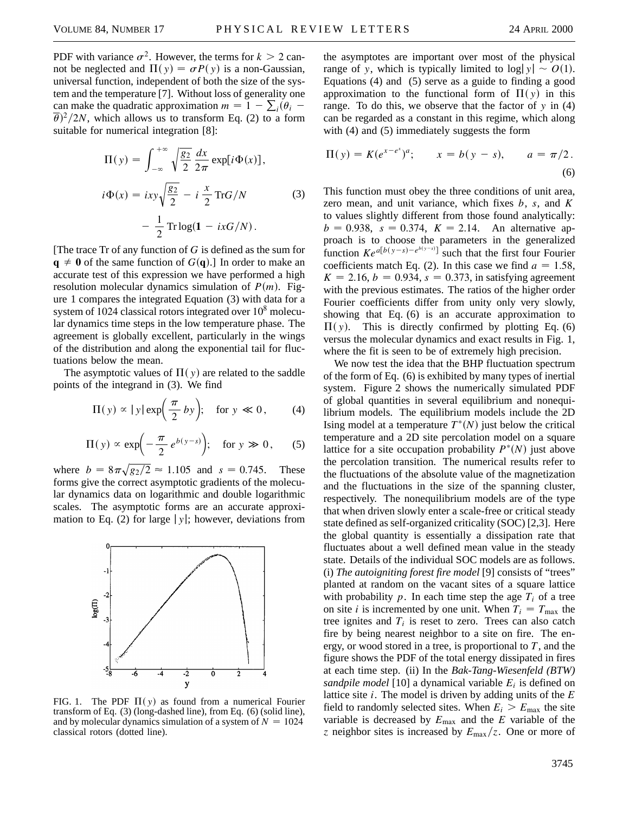PDF with variance  $\sigma^2$ . However, the terms for  $k > 2$  cannot be neglected and  $\Pi(y) = \sigma P(y)$  is a non-Gaussian, universal function, independent of both the size of the system and the temperature [7]. Without loss of generality one can make the quadratic approximation  $m = 1 - \sum_i (\theta_i \theta$ <sup>2</sup>/2*N*, which allows us to transform Eq. (2) to a form suitable for numerical integration [8]:

$$
\Pi(y) = \int_{-\infty}^{+\infty} \sqrt{\frac{g_2}{2}} \frac{dx}{2\pi} \exp[i\Phi(x)],
$$
  

$$
i\Phi(x) = ixy\sqrt{\frac{g_2}{2}} - i\frac{x}{2} \operatorname{Tr}G/N \qquad (3)
$$

$$
-\frac{1}{2} \operatorname{Tr}\log(1 - ixG/N).
$$

[The trace Tr of any function of *G* is defined as the sum for  $\mathbf{q} \neq \mathbf{0}$  of the same function of  $G(\mathbf{q})$ .] In order to make an accurate test of this expression we have performed a high resolution molecular dynamics simulation of  $P(m)$ . Figure 1 compares the integrated Equation (3) with data for a system of 1024 classical rotors integrated over  $10^8$  molecular dynamics time steps in the low temperature phase. The agreement is globally excellent, particularly in the wings of the distribution and along the exponential tail for fluctuations below the mean.

The asymptotic values of  $\Pi(y)$  are related to the saddle points of the integrand in (3). We find

$$
\Pi(y) \propto |y| \exp\left(\frac{\pi}{2} \, by\right); \quad \text{for } y \ll 0,\tag{4}
$$

$$
\Pi(y) \propto \exp\left(-\frac{\pi}{2} e^{b(y-s)}\right); \quad \text{for } y \gg 0, \qquad (5)
$$

where  $b = 8\pi \sqrt{g_2/2} \approx 1.105$  and  $s = 0.745$ . These forms give the correct asymptotic gradients of the molecular dynamics data on logarithmic and double logarithmic scales. The asymptotic forms are an accurate approximation to Eq. (2) for large  $|y|$ ; however, deviations from



FIG. 1. The PDF  $\Pi(v)$  as found from a numerical Fourier transform of Eq. (3) (long-dashed line), from Eq. (6) (solid line), and by molecular dynamics simulation of a system of  $N = 1024$ classical rotors (dotted line).

the asymptotes are important over most of the physical range of *y*, which is typically limited to log[ $y$ ]  $\sim$   $O(1)$ . Equations (4) and (5) serve as a guide to finding a good approximation to the functional form of  $\Pi(y)$  in this range. To do this, we observe that the factor of *y* in (4) can be regarded as a constant in this regime, which along with (4) and (5) immediately suggests the form

$$
\Pi(y) = K(e^{x-e^x})^a; \qquad x = b(y - s), \qquad a = \pi/2.
$$
\n(6)

This function must obey the three conditions of unit area, zero mean, and unit variance, which fixes *b*, *s*, and *K* to values slightly different from those found analytically:  $b = 0.938$ ,  $s = 0.374$ ,  $K = 2.14$ . An alternative approach is to choose the parameters in the generalized function  $Ke^{a[b(y-s)-e^{b(y-s)}]}$  such that the first four Fourier coefficients match Eq. (2). In this case we find  $a = 1.58$ ,  $K = 2.16$ ,  $b = 0.934$ ,  $s = 0.373$ , in satisfying agreement with the previous estimates. The ratios of the higher order Fourier coefficients differ from unity only very slowly, showing that Eq. (6) is an accurate approximation to  $\Pi(y)$ . This is directly confirmed by plotting Eq. (6) versus the molecular dynamics and exact results in Fig. 1, where the fit is seen to be of extremely high precision.

We now test the idea that the BHP fluctuation spectrum of the form of Eq. (6) is exhibited by many types of inertial system. Figure 2 shows the numerically simulated PDF of global quantities in several equilibrium and nonequilibrium models. The equilibrium models include the 2D Ising model at a temperature  $T^*(N)$  just below the critical temperature and a 2D site percolation model on a square lattice for a site occupation probability  $P^*(N)$  just above the percolation transition. The numerical results refer to the fluctuations of the absolute value of the magnetization and the fluctuations in the size of the spanning cluster, respectively. The nonequilibrium models are of the type that when driven slowly enter a scale-free or critical steady state defined as self-organized criticality (SOC) [2,3]. Here the global quantity is essentially a dissipation rate that fluctuates about a well defined mean value in the steady state. Details of the individual SOC models are as follows. (i) *The autoigniting forest fire model* [9] consists of "trees" planted at random on the vacant sites of a square lattice with probability  $p$ . In each time step the age  $T_i$  of a tree on site *i* is incremented by one unit. When  $T_i = T_{\text{max}}$  the tree ignites and  $T_i$  is reset to zero. Trees can also catch fire by being nearest neighbor to a site on fire. The energy, or wood stored in a tree, is proportional to *T*, and the figure shows the PDF of the total energy dissipated in fires at each time step. (ii) In the *Bak-Tang-Wiesenfeld (BTW) sandpile model* [10] a dynamical variable  $E_i$  is defined on lattice site *i*. The model is driven by adding units of the *E* field to randomly selected sites. When  $E_i > E_{\text{max}}$  the site variable is decreased by *E*max and the *E* variable of the *z* neighbor sites is increased by  $E_{\text{max}}/z$ . One or more of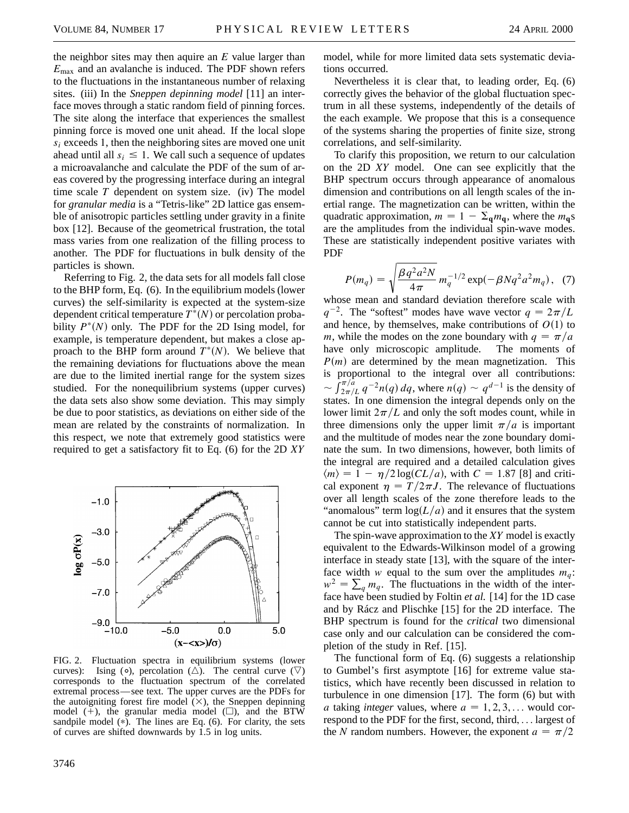the neighbor sites may then aquire an *E* value larger than *E*max and an avalanche is induced. The PDF shown refers to the fluctuations in the instantaneous number of relaxing sites. (iii) In the *Sneppen depinning model* [11] an interface moves through a static random field of pinning forces. The site along the interface that experiences the smallest pinning force is moved one unit ahead. If the local slope *si* exceeds 1, then the neighboring sites are moved one unit ahead until all  $s_i \leq 1$ . We call such a sequence of updates a microavalanche and calculate the PDF of the sum of areas covered by the progressing interface during an integral time scale *T* dependent on system size. (iv) The model for *granular media* is a "Tetris-like" 2D lattice gas ensemble of anisotropic particles settling under gravity in a finite box [12]. Because of the geometrical frustration, the total mass varies from one realization of the filling process to another. The PDF for fluctuations in bulk density of the particles is shown.

Referring to Fig. 2, the data sets for all models fall close to the BHP form, Eq. (6). In the equilibrium models (lower curves) the self-similarity is expected at the system-size dependent critical temperature  $T^*(N)$  or percolation probability  $P^*(N)$  only. The PDF for the 2D Ising model, for example, is temperature dependent, but makes a close approach to the BHP form around  $T^*(N)$ . We believe that the remaining deviations for fluctuations above the mean are due to the limited inertial range for the system sizes studied. For the nonequilibrium systems (upper curves) the data sets also show some deviation. This may simply be due to poor statistics, as deviations on either side of the mean are related by the constraints of normalization. In this respect, we note that extremely good statistics were required to get a satisfactory fit to Eq. (6) for the 2D *XY*



FIG. 2. Fluctuation spectra in equilibrium systems (lower curves): Ising ( $\circ$ ), percolation ( $\triangle$ ). The central curve ( $\nabla$ ) corresponds to the fluctuation spectrum of the correlated extremal process—see text. The upper curves are the PDFs for the autoigniting forest fire model  $(X)$ , the Sneppen depinning model (+), the granular media model  $(\square)$ , and the BTW sandpile model  $(*)$ . The lines are Eq.  $(6)$ . For clarity, the sets of curves are shifted downwards by 1.5 in log units.

model, while for more limited data sets systematic deviations occurred.

Nevertheless it is clear that, to leading order, Eq. (6) correctly gives the behavior of the global fluctuation spectrum in all these systems, independently of the details of the each example. We propose that this is a consequence of the systems sharing the properties of finite size, strong correlations, and self-similarity.

To clarify this proposition, we return to our calculation on the 2D *XY* model. One can see explicitly that the BHP spectrum occurs through appearance of anomalous dimension and contributions on all length scales of the inertial range. The magnetization can be written, within the quadratic approximation,  $m = 1 - \Sigma_q m_q$ , where the  $m_q s$ are the amplitudes from the individual spin-wave modes. These are statistically independent positive variates with PDF

$$
P(m_q) = \sqrt{\frac{\beta q^2 a^2 N}{4\pi}} m_q^{-1/2} \exp(-\beta N q^2 a^2 m_q), \quad (7)
$$

whose mean and standard deviation therefore scale with  $q^{-2}$ . The "softest" modes have wave vector  $q = 2\pi/L$ and hence, by themselves, make contributions of  $O(1)$  to *m*, while the modes on the zone boundary with  $q = \pi/a$ have only microscopic amplitude. The moments of  $P(m)$  are determined by the mean magnetization. This is proportional to the integral over all contributions:  $\sim \int_{2\pi/L}^{\pi/a} q^{-2}n(q) dq$ , where  $n(q) \sim q^{d-1}$  is the density of states. In one dimension the integral depends only on the lower limit  $2\pi/L$  and only the soft modes count, while in three dimensions only the upper limit  $\pi/a$  is important and the multitude of modes near the zone boundary dominate the sum. In two dimensions, however, both limits of the integral are required and a detailed calculation gives  $\langle m \rangle = 1 - \eta/2 \log(CL/a)$ , with  $C = 1.87$  [8] and critical exponent  $\eta = T/2\pi J$ . The relevance of fluctuations over all length scales of the zone therefore leads to the "anomalous" term  $log(L/a)$  and it ensures that the system cannot be cut into statistically independent parts.

The spin-wave approximation to the *XY* model is exactly equivalent to the Edwards-Wilkinson model of a growing interface in steady state [13], with the square of the interface width *w* equal to the sum over the amplitudes  $m_q$ :  $w^2 = \sum_q m_q$ . The fluctuations in the width of the interface have been studied by Foltin *et al.* [14] for the 1D case and by Rácz and Plischke [15] for the 2D interface. The BHP spectrum is found for the *critical* two dimensional case only and our calculation can be considered the completion of the study in Ref. [15].

The functional form of Eq. (6) suggests a relationship to Gumbel's first asymptote [16] for extreme value statistics, which have recently been discussed in relation to turbulence in one dimension [17]. The form (6) but with *a* taking *integer* values, where  $a = 1, 2, 3, \ldots$  would correspond to the PDF for the first, second, third,... largest of the *N* random numbers. However, the exponent  $a = \pi/2$